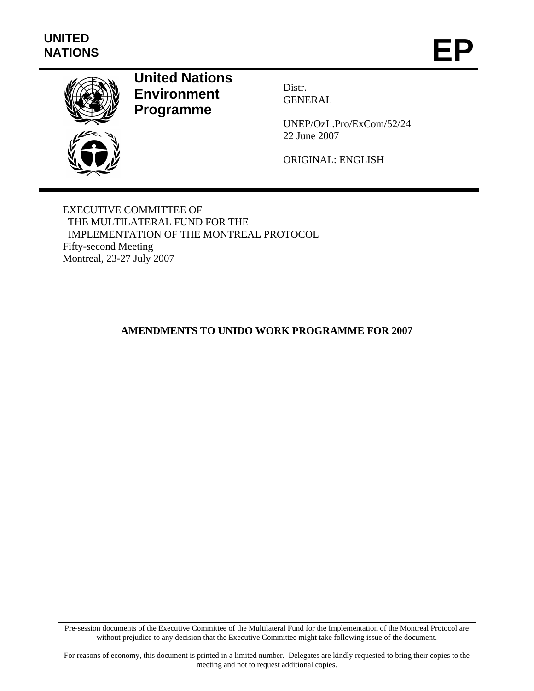

# **United Nations Environment Programme**

Distr. GENERAL

UNEP/OzL.Pro/ExCom/52/24 22 June 2007

ORIGINAL: ENGLISH

EXECUTIVE COMMITTEE OF THE MULTILATERAL FUND FOR THE IMPLEMENTATION OF THE MONTREAL PROTOCOL Fifty-second Meeting Montreal, 23-27 July 2007

# **AMENDMENTS TO UNIDO WORK PROGRAMME FOR 2007**

Pre-session documents of the Executive Committee of the Multilateral Fund for the Implementation of the Montreal Protocol are without prejudice to any decision that the Executive Committee might take following issue of the document.

For reasons of economy, this document is printed in a limited number. Delegates are kindly requested to bring their copies to the meeting and not to request additional copies.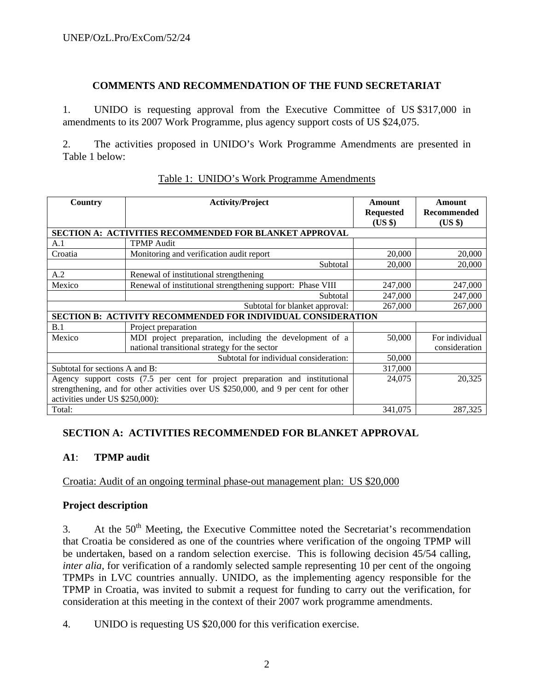#### **COMMENTS AND RECOMMENDATION OF THE FUND SECRETARIAT**

1. UNIDO is requesting approval from the Executive Committee of US \$317,000 in amendments to its 2007 Work Programme, plus agency support costs of US \$24,075.

2. The activities proposed in UNIDO's Work Programme Amendments are presented in Table 1 below:

| Country                         | <b>Activity/Project</b>                                                             | Amount           | <b>Amount</b>  |
|---------------------------------|-------------------------------------------------------------------------------------|------------------|----------------|
|                                 |                                                                                     | <b>Requested</b> | Recommended    |
|                                 |                                                                                     | (US \$)          | $(US \$        |
|                                 | <b>SECTION A: ACTIVITIES RECOMMENDED FOR BLANKET APPROVAL</b>                       |                  |                |
| A.1                             | <b>TPMP</b> Audit                                                                   |                  |                |
| Croatia                         | Monitoring and verification audit report                                            | 20,000           | 20,000         |
|                                 | Subtotal                                                                            | 20,000           | 20,000         |
| A.2                             | Renewal of institutional strengthening                                              |                  |                |
| Mexico                          | Renewal of institutional strengthening support: Phase VIII                          | 247,000          | 247,000        |
|                                 | Subtotal                                                                            | 247,000          | 247,000        |
|                                 | Subtotal for blanket approval:                                                      | 267,000          | 267,000        |
|                                 | SECTION B: ACTIVITY RECOMMENDED FOR INDIVIDUAL CONSIDERATION                        |                  |                |
| B.1                             | Project preparation                                                                 |                  |                |
| Mexico                          | MDI project preparation, including the development of a                             | 50,000           | For individual |
|                                 | national transitional strategy for the sector                                       |                  | consideration  |
|                                 | Subtotal for individual consideration:                                              | 50,000           |                |
| Subtotal for sections A and B:  |                                                                                     | 317,000          |                |
|                                 | Agency support costs (7.5 per cent for project preparation and institutional        | 24,075           | 20,325         |
|                                 | strengthening, and for other activities over US \$250,000, and 9 per cent for other |                  |                |
| activities under US \$250,000): |                                                                                     |                  |                |
| Total:                          |                                                                                     | 341,075          | 287,325        |

#### Table 1: UNIDO's Work Programme Amendments

# **SECTION A: ACTIVITIES RECOMMENDED FOR BLANKET APPROVAL**

## **A1**: **TPMP audit**

Croatia: Audit of an ongoing terminal phase-out management plan: US \$20,000

#### **Project description**

3. At the  $50<sup>th</sup>$  Meeting, the Executive Committee noted the Secretariat's recommendation that Croatia be considered as one of the countries where verification of the ongoing TPMP will be undertaken, based on a random selection exercise. This is following decision 45/54 calling, *inter alia*, for verification of a randomly selected sample representing 10 per cent of the ongoing TPMPs in LVC countries annually. UNIDO, as the implementing agency responsible for the TPMP in Croatia, was invited to submit a request for funding to carry out the verification, for consideration at this meeting in the context of their 2007 work programme amendments.

4. UNIDO is requesting US \$20,000 for this verification exercise.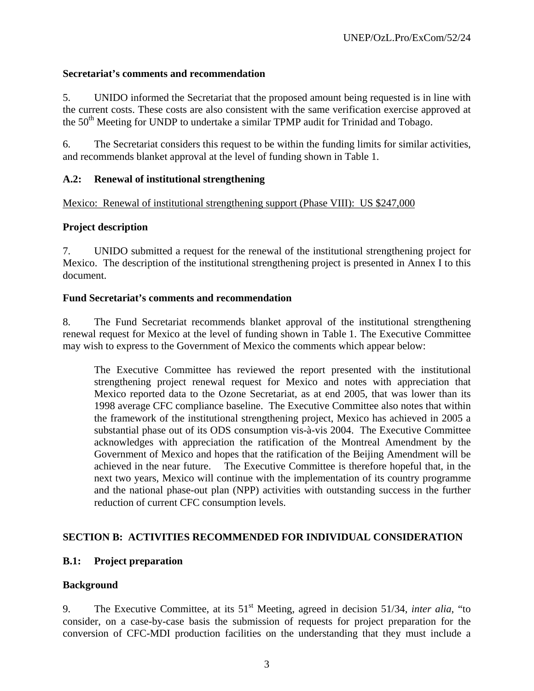## **Secretariat's comments and recommendation**

5. UNIDO informed the Secretariat that the proposed amount being requested is in line with the current costs. These costs are also consistent with the same verification exercise approved at the 50<sup>th</sup> Meeting for UNDP to undertake a similar TPMP audit for Trinidad and Tobago.

6. The Secretariat considers this request to be within the funding limits for similar activities, and recommends blanket approval at the level of funding shown in Table 1.

#### **A.2: Renewal of institutional strengthening**

Mexico: Renewal of institutional strengthening support (Phase VIII): US \$247,000

#### **Project description**

7. UNIDO submitted a request for the renewal of the institutional strengthening project for Mexico. The description of the institutional strengthening project is presented in Annex I to this document.

#### **Fund Secretariat's comments and recommendation**

8. The Fund Secretariat recommends blanket approval of the institutional strengthening renewal request for Mexico at the level of funding shown in Table 1. The Executive Committee may wish to express to the Government of Mexico the comments which appear below:

The Executive Committee has reviewed the report presented with the institutional strengthening project renewal request for Mexico and notes with appreciation that Mexico reported data to the Ozone Secretariat, as at end 2005, that was lower than its 1998 average CFC compliance baseline. The Executive Committee also notes that within the framework of the institutional strengthening project, Mexico has achieved in 2005 a substantial phase out of its ODS consumption vis-à-vis 2004. The Executive Committee acknowledges with appreciation the ratification of the Montreal Amendment by the Government of Mexico and hopes that the ratification of the Beijing Amendment will be achieved in the near future. The Executive Committee is therefore hopeful that, in the next two years, Mexico will continue with the implementation of its country programme and the national phase-out plan (NPP) activities with outstanding success in the further reduction of current CFC consumption levels.

## **SECTION B: ACTIVITIES RECOMMENDED FOR INDIVIDUAL CONSIDERATION**

## **B.1: Project preparation**

## **Background**

9. The Executive Committee, at its 51st Meeting, agreed in decision 51/34, *inter alia*, "to consider, on a case-by-case basis the submission of requests for project preparation for the conversion of CFC-MDI production facilities on the understanding that they must include a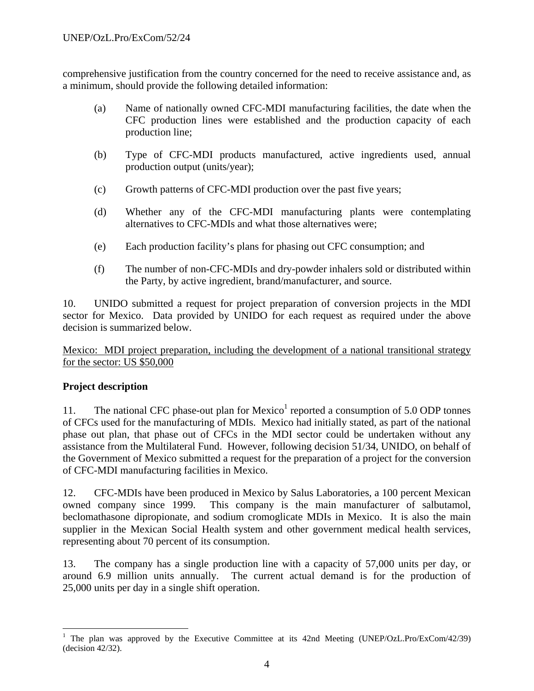comprehensive justification from the country concerned for the need to receive assistance and, as a minimum, should provide the following detailed information:

- (a) Name of nationally owned CFC-MDI manufacturing facilities, the date when the CFC production lines were established and the production capacity of each production line;
- (b) Type of CFC-MDI products manufactured, active ingredients used, annual production output (units/year);
- (c) Growth patterns of CFC-MDI production over the past five years;
- (d) Whether any of the CFC-MDI manufacturing plants were contemplating alternatives to CFC-MDIs and what those alternatives were;
- (e) Each production facility's plans for phasing out CFC consumption; and
- (f) The number of non-CFC-MDIs and dry-powder inhalers sold or distributed within the Party, by active ingredient, brand/manufacturer, and source.

10. UNIDO submitted a request for project preparation of conversion projects in the MDI sector for Mexico. Data provided by UNIDO for each request as required under the above decision is summarized below.

Mexico: MDI project preparation, including the development of a national transitional strategy for the sector: US \$50,000

## **Project description**

 $\overline{a}$ 

11. The national CFC phase-out plan for Mexico<sup>1</sup> reported a consumption of 5.0 ODP tonnes of CFCs used for the manufacturing of MDIs. Mexico had initially stated, as part of the national phase out plan, that phase out of CFCs in the MDI sector could be undertaken without any assistance from the Multilateral Fund. However, following decision 51/34, UNIDO, on behalf of the Government of Mexico submitted a request for the preparation of a project for the conversion of CFC-MDI manufacturing facilities in Mexico.

12. CFC-MDIs have been produced in Mexico by Salus Laboratories, a 100 percent Mexican owned company since 1999. This company is the main manufacturer of salbutamol, beclomathasone dipropionate, and sodium cromoglicate MDIs in Mexico. It is also the main supplier in the Mexican Social Health system and other government medical health services, representing about 70 percent of its consumption.

13. The company has a single production line with a capacity of 57,000 units per day, or around 6.9 million units annually. The current actual demand is for the production of 25,000 units per day in a single shift operation.

<sup>&</sup>lt;sup>1</sup> The plan was approved by the Executive Committee at its 42nd Meeting (UNEP/OzL.Pro/ExCom/42/39) (decision 42/32).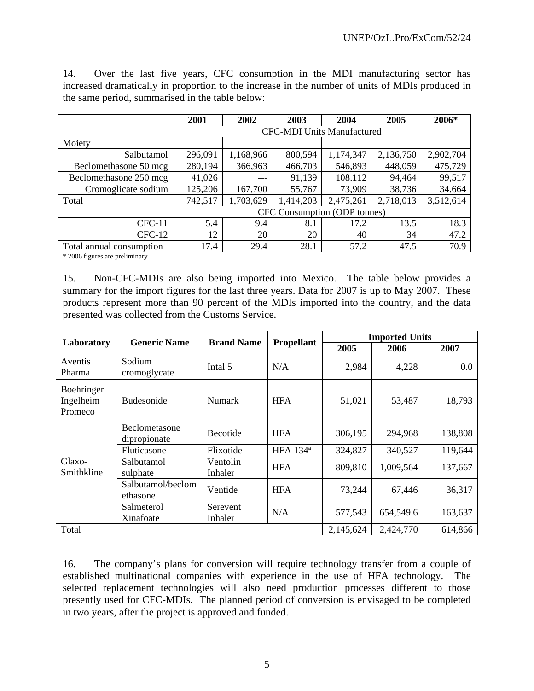| 14.                                             |  |  |  |  |  |  |  |  |  |  | Over the last five years, CFC consumption in the MDI manufacturing sector has                   |  |
|-------------------------------------------------|--|--|--|--|--|--|--|--|--|--|-------------------------------------------------------------------------------------------------|--|
|                                                 |  |  |  |  |  |  |  |  |  |  | increased dramatically in proportion to the increase in the number of units of MDIs produced in |  |
| the same period, summarised in the table below: |  |  |  |  |  |  |  |  |  |  |                                                                                                 |  |

|                          | 2001                         | 2002                              | 2003      | 2004      | 2005      | 2006*     |  |  |  |  |
|--------------------------|------------------------------|-----------------------------------|-----------|-----------|-----------|-----------|--|--|--|--|
|                          |                              | <b>CFC-MDI Units Manufactured</b> |           |           |           |           |  |  |  |  |
| Moiety                   |                              |                                   |           |           |           |           |  |  |  |  |
| Salbutamol               | 296,091                      | 1,168,966                         | 800,594   | 1,174,347 | 2,136,750 | 2,902,704 |  |  |  |  |
| Beclomethasone 50 mcg    | 280,194                      | 366,963                           | 466,703   | 546,893   | 448,059   | 475,729   |  |  |  |  |
| Beclomethasone 250 mcg   | 41,026                       | ---                               | 91,139    | 108.112   | 94,464    | 99,517    |  |  |  |  |
| Cromoglicate sodium      | 125,206                      | 167,700                           | 55,767    | 73,909    | 38,736    | 34.664    |  |  |  |  |
| Total                    | 742,517                      | 1,703,629                         | 1,414,203 | 2,475,261 | 2,718,013 | 3,512,614 |  |  |  |  |
|                          | CFC Consumption (ODP tonnes) |                                   |           |           |           |           |  |  |  |  |
| $CFC-11$                 | 5.4                          | 9.4                               | 8.1       | 17.2      | 13.5      | 18.3      |  |  |  |  |
| $CFC-12$                 | 12                           | 20                                | 20        | 40        | 34        | 47.2      |  |  |  |  |
| Total annual consumption | 17.4                         | 29.4                              | 28.1      | 57.2      | 47.5      | 70.9      |  |  |  |  |

\* 2006 figures are preliminary

15. Non-CFC-MDIs are also being imported into Mexico. The table below provides a summary for the import figures for the last three years. Data for 2007 is up to May 2007. These products represent more than 90 percent of the MDIs imported into the country, and the data presented was collected from the Customs Service.

| Laboratory                         | <b>Generic Name</b>           | <b>Brand Name</b>   | <b>Propellant</b>    | <b>Imported Units</b> |           |         |  |  |
|------------------------------------|-------------------------------|---------------------|----------------------|-----------------------|-----------|---------|--|--|
|                                    |                               |                     |                      | 2005                  | 2006      | 2007    |  |  |
| Aventis<br>Pharma                  | Sodium<br>cromoglycate        | Intal 5             | N/A                  | 2,984                 | 4,228     | 0.0     |  |  |
| Boehringer<br>Ingelheim<br>Promeco | <b>Budesonide</b>             | <b>Numark</b>       | <b>HFA</b>           | 51,021                | 53,487    | 18,793  |  |  |
|                                    | Beclometasone<br>dipropionate | <b>Becotide</b>     | <b>HFA</b>           | 306,195               | 294,968   | 138,808 |  |  |
|                                    | Fluticasone                   | Flixotide           | HFA 134 <sup>ª</sup> | 324,827               | 340,527   | 119,644 |  |  |
| Glaxo-<br>Smithkline               | Salbutamol<br>sulphate        | Ventolin<br>Inhaler | <b>HFA</b>           | 809,810               | 1,009,564 | 137,667 |  |  |
|                                    | Salbutamol/beclom<br>ethasone | Ventide             | <b>HFA</b>           | 73,244                | 67,446    | 36,317  |  |  |
|                                    | Salmeterol<br>Xinafoate       | Serevent<br>Inhaler | N/A                  | 577,543               | 654,549.6 | 163,637 |  |  |
| Total                              |                               | 2,145,624           | 2,424,770            | 614,866               |           |         |  |  |

16. The company's plans for conversion will require technology transfer from a couple of established multinational companies with experience in the use of HFA technology. The selected replacement technologies will also need production processes different to those presently used for CFC-MDIs. The planned period of conversion is envisaged to be completed in two years, after the project is approved and funded.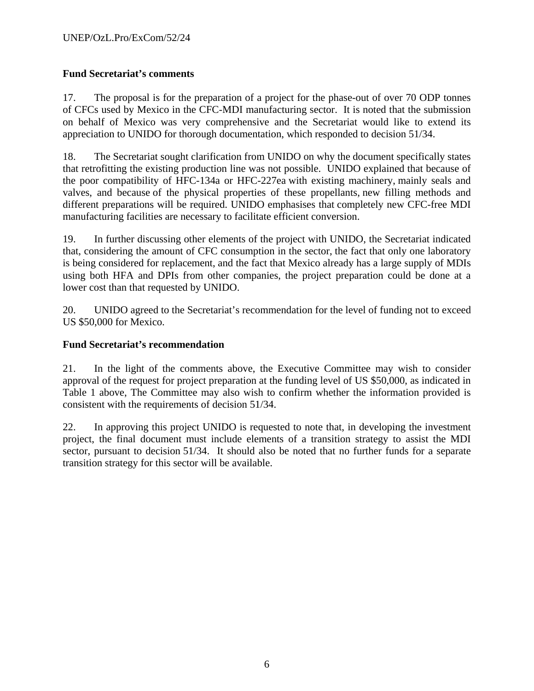## **Fund Secretariat's comments**

17. The proposal is for the preparation of a project for the phase-out of over 70 ODP tonnes of CFCs used by Mexico in the CFC-MDI manufacturing sector. It is noted that the submission on behalf of Mexico was very comprehensive and the Secretariat would like to extend its appreciation to UNIDO for thorough documentation, which responded to decision 51/34.

18. The Secretariat sought clarification from UNIDO on why the document specifically states that retrofitting the existing production line was not possible. UNIDO explained that because of the poor compatibility of HFC-134a or HFC-227ea with existing machinery, mainly seals and valves, and because of the physical properties of these propellants, new filling methods and different preparations will be required. UNIDO emphasises that completely new CFC-free MDI manufacturing facilities are necessary to facilitate efficient conversion.

19. In further discussing other elements of the project with UNIDO, the Secretariat indicated that, considering the amount of CFC consumption in the sector, the fact that only one laboratory is being considered for replacement, and the fact that Mexico already has a large supply of MDIs using both HFA and DPIs from other companies, the project preparation could be done at a lower cost than that requested by UNIDO.

20. UNIDO agreed to the Secretariat's recommendation for the level of funding not to exceed US \$50,000 for Mexico.

## **Fund Secretariat's recommendation**

21. In the light of the comments above, the Executive Committee may wish to consider approval of the request for project preparation at the funding level of US \$50,000, as indicated in Table 1 above, The Committee may also wish to confirm whether the information provided is consistent with the requirements of decision 51/34.

22. In approving this project UNIDO is requested to note that, in developing the investment project, the final document must include elements of a transition strategy to assist the MDI sector, pursuant to decision 51/34. It should also be noted that no further funds for a separate transition strategy for this sector will be available.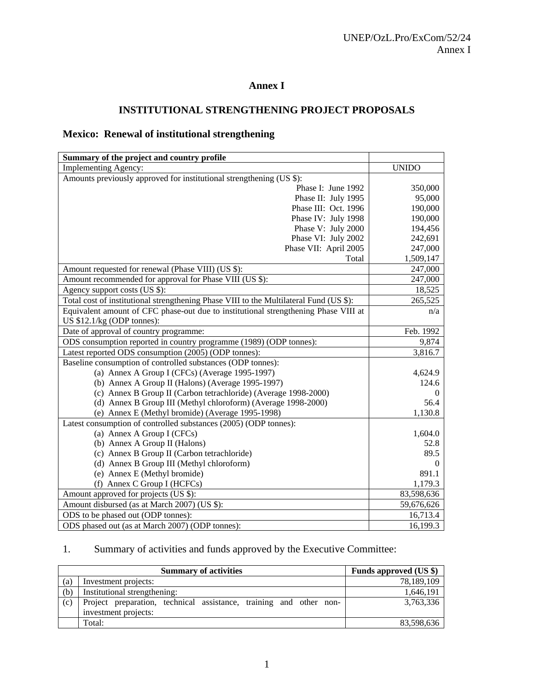## **Annex I**

## **INSTITUTIONAL STRENGTHENING PROJECT PROPOSALS**

## **Mexico: Renewal of institutional strengthening**

| Summary of the project and country profile                                             |                |
|----------------------------------------------------------------------------------------|----------------|
| <b>Implementing Agency:</b>                                                            | <b>UNIDO</b>   |
| Amounts previously approved for institutional strengthening (US \$):                   |                |
| Phase I: June 1992                                                                     | 350,000        |
| Phase II: July 1995                                                                    | 95,000         |
| Phase III: Oct. 1996                                                                   | 190,000        |
| Phase IV: July 1998                                                                    | 190,000        |
| Phase V: July 2000                                                                     | 194,456        |
| Phase VI: July 2002                                                                    | 242,691        |
| Phase VII: April 2005                                                                  | 247,000        |
| Total                                                                                  | 1,509,147      |
| Amount requested for renewal (Phase VIII) (US \$):                                     | 247,000        |
| Amount recommended for approval for Phase VIII (US \$):                                | 247,000        |
| Agency support costs (US \$):                                                          | 18,525         |
| Total cost of institutional strengthening Phase VIII to the Multilateral Fund (US \$): | 265,525        |
| Equivalent amount of CFC phase-out due to institutional strengthening Phase VIII at    | n/a            |
| US $$12.1/kg$ (ODP tonnes):                                                            |                |
| Date of approval of country programme:                                                 | Feb. 1992      |
| ODS consumption reported in country programme (1989) (ODP tonnes):                     | 9,874          |
| Latest reported ODS consumption (2005) (ODP tonnes):                                   | 3,816.7        |
| Baseline consumption of controlled substances (ODP tonnes):                            |                |
| (a) Annex A Group I (CFCs) (Average 1995-1997)                                         | 4,624.9        |
| (b) Annex A Group II (Halons) (Average 1995-1997)                                      | 124.6          |
| (c) Annex B Group II (Carbon tetrachloride) (Average 1998-2000)                        | 0              |
| (d) Annex B Group III (Methyl chloroform) (Average 1998-2000)                          | 56.4           |
| (e) Annex E (Methyl bromide) (Average 1995-1998)                                       | 1,130.8        |
| Latest consumption of controlled substances (2005) (ODP tonnes):                       |                |
| (a) Annex A Group I (CFCs)                                                             | 1,604.0        |
| (b) Annex A Group II (Halons)                                                          | 52.8           |
| (c) Annex B Group II (Carbon tetrachloride)                                            | 89.5           |
| (d) Annex B Group III (Methyl chloroform)                                              | $\overline{0}$ |
| (e) Annex E (Methyl bromide)                                                           | 891.1          |
| (f) Annex C Group I (HCFCs)                                                            | 1,179.3        |
| Amount approved for projects (US \$):                                                  | 83,598,636     |
| Amount disbursed (as at March 2007) (US \$):                                           | 59,676,626     |
| ODS to be phased out (ODP tonnes):                                                     | 16,713.4       |
| ODS phased out (as at March 2007) (ODP tonnes):                                        | 16,199.3       |

# 1. Summary of activities and funds approved by the Executive Committee:

|     | <b>Summary of activities</b>                                                               | Funds approved (US \$) |
|-----|--------------------------------------------------------------------------------------------|------------------------|
| (a) | Investment projects:                                                                       | 78,189,109             |
| (b) | Institutional strengthening:                                                               | 1,646,191              |
| (c) | Project preparation, technical assistance, training and other non-<br>investment projects: | 3.763.336              |
|     | Total:                                                                                     | 83,598,636             |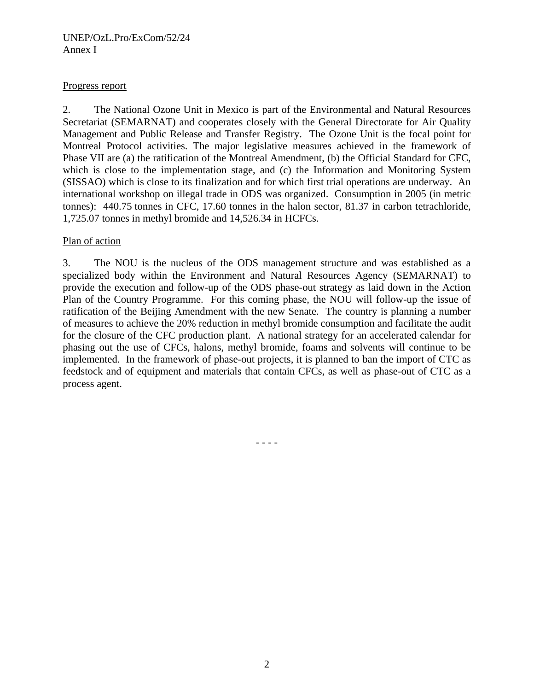#### UNEP/OzL.Pro/ExCom/52/24 Annex I

#### Progress report

2. The National Ozone Unit in Mexico is part of the Environmental and Natural Resources Secretariat (SEMARNAT) and cooperates closely with the General Directorate for Air Quality Management and Public Release and Transfer Registry. The Ozone Unit is the focal point for Montreal Protocol activities. The major legislative measures achieved in the framework of Phase VII are (a) the ratification of the Montreal Amendment, (b) the Official Standard for CFC, which is close to the implementation stage, and (c) the Information and Monitoring System (SISSAO) which is close to its finalization and for which first trial operations are underway. An international workshop on illegal trade in ODS was organized. Consumption in 2005 (in metric tonnes): 440.75 tonnes in CFC, 17.60 tonnes in the halon sector, 81.37 in carbon tetrachloride, 1,725.07 tonnes in methyl bromide and 14,526.34 in HCFCs.

#### Plan of action

3. The NOU is the nucleus of the ODS management structure and was established as a specialized body within the Environment and Natural Resources Agency (SEMARNAT) to provide the execution and follow-up of the ODS phase-out strategy as laid down in the Action Plan of the Country Programme. For this coming phase, the NOU will follow-up the issue of ratification of the Beijing Amendment with the new Senate. The country is planning a number of measures to achieve the 20% reduction in methyl bromide consumption and facilitate the audit for the closure of the CFC production plant. A national strategy for an accelerated calendar for phasing out the use of CFCs, halons, methyl bromide, foams and solvents will continue to be implemented. In the framework of phase-out projects, it is planned to ban the import of CTC as feedstock and of equipment and materials that contain CFCs, as well as phase-out of CTC as a process agent.

- - - -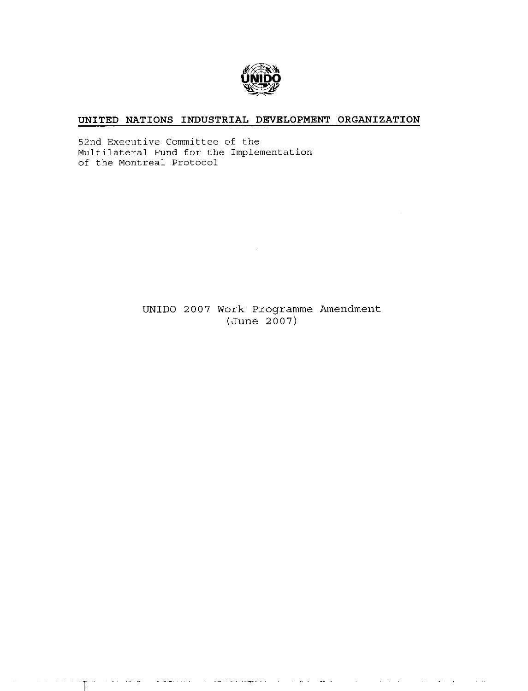

#### UNITED NATIONS INDUSTRIAL DEVELOPMENT ORGANIZATION

52nd Executive Committee of the Multilateral Fund for the Implementation of the Montreal Protocol

> UNIDO 2007 Work Programme Amendment  $(June 2007)$

> > $\hat{H}_{\text{c}}$  and  $\hat{H}_{\text{c}}$  are simple to a superfinite for  $\hat{H}_{\text{c}}$  ,  $\hat{H}_{\text{c}}$  ,  $\hat{H}_{\text{c}}$

الأرابط

والموامل

 $\mathcal{O}(\log n)$  and  $\mathcal{O}(\log n)$  and

.<br>Samu sa

والشاوية والداما

 $\sim$   $\sim$   $\sim$   $\sim$ 

 $\bar{\alpha}$ 

 $\mathcal{A}$  and  $\mathcal{A}$  is a simple point of the space of the space of the space  $\mathcal{A}$